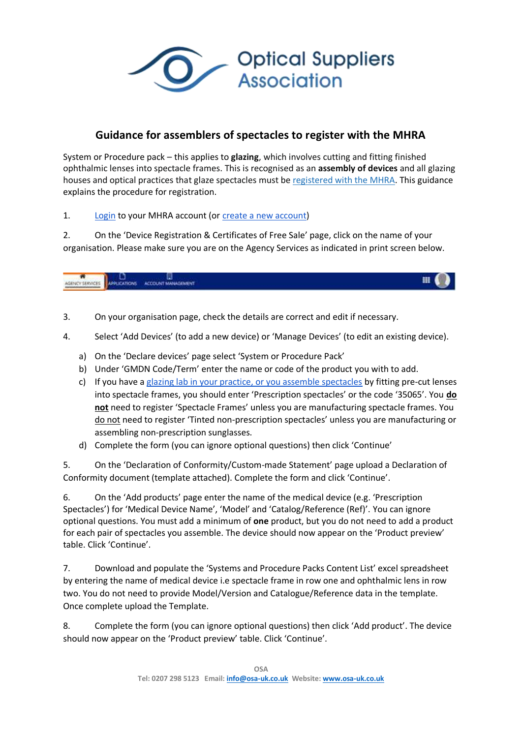**Optical Suppliers Association** 

## **Guidance for assemblers of spectacles to register with the MHRA**

System or Procedure pack – this applies to **glazing**, which involves cutting and fitting finished ophthalmic lenses into spectacle frames. This is recognised as an **assembly of devices** and all glazing houses and optical practices that glaze spectacles must be [registered with the](https://eur01.safelinks.protection.outlook.com/?url=https%3A%2F%2Fwww.gov.uk%2Fregister-as-a-manufacturer-to-sell-medical-devices&data=04%7C01%7CFunmi.Taiwo%40mhra.gov.uk%7Cbf585dc88d854c3ce55b08da12228aed%7Ce527ea5c62584cd2a27f8bd237ec4c26%7C0%7C0%7C637842236964042238%7CUnknown%7CTWFpbGZsb3d8eyJWIjoiMC4wLjAwMDAiLCJQIjoiV2luMzIiLCJBTiI6Ik1haWwiLCJXVCI6Mn0%3D%7C3000&sdata=F1zSCt8G2dQuvup2%2BNza4t04lkRiIIiuCq90SImpzyM%3D&reserved=0) MHRA. This guidance explains the procedure for registration.

1. [Login](https://urldefense.com/v3/__https:/mhrabpm.appiancloud.com/suite/?signin=native__;!!GanFsFnq!ciNBcoBluY_F5LsaRz4ivXiiWG69tYsC0MXM9CuKudsHi3Xcm3cW7yw2YnO50CvhHA$) to your MHRA account (or [create a new account\)](https://urldefense.com/v3/__https:/mhrabpm.appiancloud.com/suite/plugins/servlet/registration__;!!GanFsFnq!ciNBcoBluY_F5LsaRz4ivXiiWG69tYsC0MXM9CuKudsHi3Xcm3cW7yw2YnNObcai9A$)

2. On the 'Device Registration & Certificates of Free Sale' page, click on the name of your organisation. Please make sure you are on the Agency Services as indicated in print screen below.

ACCOUNT MANAGEMENT PRICATIONS AGENCY SERVICES

- 3. On your organisation page, check the details are correct and edit if necessary.
- 4. Select 'Add Devices' (to add a new device) or 'Manage Devices' (to edit an existing device).
	- a) On the 'Declare devices' page select 'System or Procedure Pack'
	- b) Under 'GMDN Code/Term' enter the name or code of the product you with to add.
	- c) If you have a [glazing lab in your practice, or you assemble spectacles](https://urldefense.com/v3/__https:/www.gov.uk/government/publications/medical-devices-legal-requirements-for-specific-medical-devices/medical-devices-legal-requirements-for-specific-medical-devices*ophthalmic-products__;Iw!!GanFsFnq!ciNBcoBluY_F5LsaRz4ivXiiWG69tYsC0MXM9CuKudsHi3Xcm3cW7yw2YnP2WVNMJw$) by fitting pre-cut lenses into spectacle frames, you should enter 'Prescription spectacles' or the code '35065'. You **do not** need to register 'Spectacle Frames' unless you are manufacturing spectacle frames. You do not need to register 'Tinted non-prescription spectacles' unless you are manufacturing or assembling non-prescription sunglasses.
	- d) Complete the form (you can ignore optional questions) then click 'Continue'

5. On the 'Declaration of Conformity/Custom-made Statement' page upload a Declaration of Conformity document (template attached). Complete the form and click 'Continue'.

6. On the 'Add products' page enter the name of the medical device (e.g. 'Prescription Spectacles') for 'Medical Device Name', 'Model' and 'Catalog/Reference (Ref)'. You can ignore optional questions. You must add a minimum of **one** product, but you do not need to add a product for each pair of spectacles you assemble. The device should now appear on the 'Product preview' table. Click 'Continue'.

7. Download and populate the 'Systems and Procedure Packs Content List' excel spreadsheet by entering the name of medical device i.e spectacle frame in row one and ophthalmic lens in row two. You do not need to provide Model/Version and Catalogue/Reference data in the template. Once complete upload the Template.

8. Complete the form (you can ignore optional questions) then click 'Add product'. The device should now appear on the 'Product preview' table. Click 'Continue'.